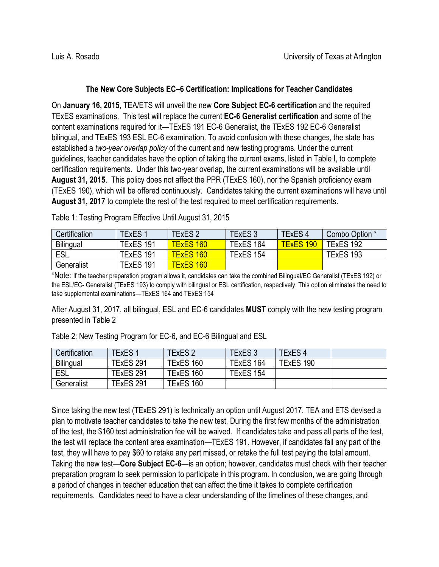## **The New Core Subjects EC–6 Certification: Implications for Teacher Candidates**

On **January 16, 2015**, TEA/ETS will unveil the new **Core Subject EC-6 certification** and the required TExES examinations. This test will replace the current **EC-6 Generalist certification** and some of the content examinations required for it—TExES 191 EC-6 Generalist, the TExES 192 EC-6 Generalist bilingual, and TExES 193 ESL EC-6 examination. To avoid confusion with these changes, the state has established a *two-year overlap policy* of the current and new testing programs. Under the current guidelines, teacher candidates have the option of taking the current exams, listed in Table I, to complete certification requirements. Under this two-year overlap, the current examinations will be available until **August 31, 2015**. This policy does not affect the PPR (TExES 160), nor the Spanish proficiency exam (TExES 190), which will be offered continuously. Candidates taking the current examinations will have until **August 31, 2017** to complete the rest of the test required to meet certification requirements.

| Certification    | <b>TExES1</b> | TExES 2          | TExES 3   | TExES <sub>4</sub> | Combo Option * |
|------------------|---------------|------------------|-----------|--------------------|----------------|
| <b>Bilingual</b> | TExES 191     | <b>TExES 160</b> | TExES 164 | <b>TExES 190</b>   | TExES 192      |
| ESL              | TExES 191     | <b>TExES 160</b> | TExES 154 |                    | TExES 193      |
| Generalist       | TExES 191     | <b>TExES 160</b> |           |                    |                |

Table 1: Testing Program Effective Until August 31, 2015

\*Note: If the teacher preparation program allows it, candidates can take the combined Bilingual/EC Generalist (TExES 192) or the ESL/EC- Generalist (TExES 193) to comply with bilingual or ESL certification, respectively. This option eliminates the need to take supplemental examinations—TExES 164 and TExES 154

After August 31, 2017, all bilingual, ESL and EC-6 candidates **MUST** comply with the new testing program presented in Table 2

| Certification    | <b>TExES1</b>    | <b>TExES 2</b>   | <b>TExES 3</b> | <b>TExES4</b> |  |
|------------------|------------------|------------------|----------------|---------------|--|
| <b>Bilingual</b> | TExES 291        | TExES 160        | TExES 164      | TExES 190     |  |
| ESL              | <b>TExES 291</b> | TExES 160        | TExES 154      |               |  |
| Generalist       | <b>TExES 291</b> | <b>TExES 160</b> |                |               |  |

Table 2: New Testing Program for EC-6, and EC-6 Bilingual and ESL

Since taking the new test (TExES 291) is technically an option until August 2017, TEA and ETS devised a plan to motivate teacher candidates to take the new test. During the first few months of the administration of the test, the \$160 test administration fee will be waived. If candidates take and pass all parts of the test, the test will replace the content area examination—TExES 191. However, if candidates fail any part of the test, they will have to pay \$60 to retake any part missed, or retake the full test paying the total amount. Taking the new test—**Core Subject EC-6—**is an option; however, candidates must check with their teacher preparation program to seek permission to participate in this program. In conclusion, we are going through a period of changes in teacher education that can affect the time it takes to complete certification requirements. Candidates need to have a clear understanding of the timelines of these changes, and